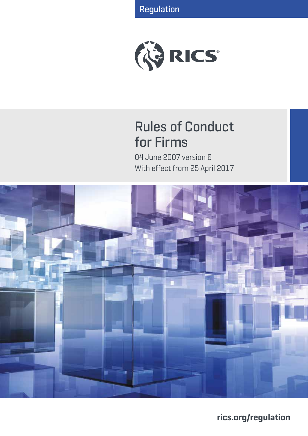Regulation



# Rules of Conduct for Firms

04 June 2007 version 6 With effect from 25 April 2017



**rics.org/regulation**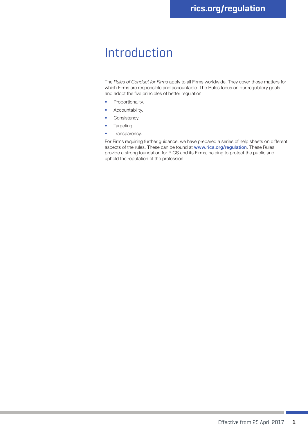# Introduction

The *Rules of Conduct for Firms* apply to all Firms worldwide. They cover those matters for which Firms are responsible and accountable. The Rules focus on our regulatory goals and adopt the five principles of better regulation:

- Proportionality.
- Accountability.
- Consistency.
- Targeting.
- Transparency.

For Firms requiring further guidance, we have prepared a series of help sheets on different aspects of the rules. These can be found at www.rics.org/regulation. These Rules provide a strong foundation for RICS and its Firms, helping to protect the public and uphold the reputation of the profession.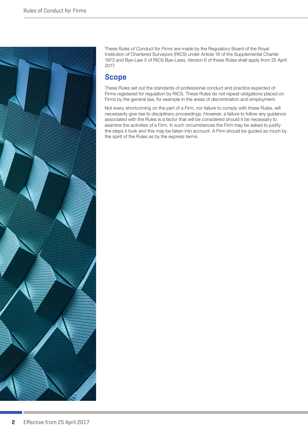

These *Rules of Conduct for Firms* are made by the Regulatory Board of the Royal Institution of Chartered Surveyors (RICS) under Article 18 of the Supplemental Charter 1973 and Bye-Law 5 of RICS Bye-Laws. Version 6 of these Rules shall apply from 25 April 2017.

### **Scope**

These Rules set out the standards of professional conduct and practice expected of Firms registered for regulation by RICS. These Rules do not repeat obligations placed on Firms by the general law, for example in the areas of discrimination and employment.

Not every shortcoming on the part of a Firm, nor failure to comply with these Rules, will necessarily give rise to disciplinary proceedings. However, a failure to follow any guidance associated with the Rules is a factor that will be considered should it be necessary to examine the activities of a Firm. In such circumstances the Firm may be asked to justify the steps it took and this may be taken into account. A Firm should be guided as much by the spirit of the Rules as by the express terms.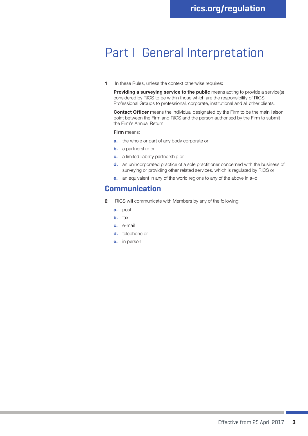# Part I General Interpretation

1 In these Rules, unless the context otherwise requires:

Providing a surveying service to the public means acting to provide a service(s) considered by RICS to be within those which are the responsibility of RICS' Professional Groups to professional, corporate, institutional and all other clients.

**Contact Officer** means the individual designated by the Firm to be the main liaison point between the Firm and RICS and the person authorised by the Firm to submit the Firm's Annual Return.

**Firm** means:

- **a.** the whole or part of any body corporate or
- **b.** a partnership or
- c. a limited liability partnership or
- d. an unincorporated practice of a sole practitioner concerned with the business of surveying or providing other related services, which is regulated by RICS or
- e. an equivalent in any of the world regions to any of the above in a–d.

### **Communication**

- 2 RICS will communicate with Members by any of the following:
	- a. post
	- b. fax
	- c. e-mail
	- d. telephone or
	- e. in person.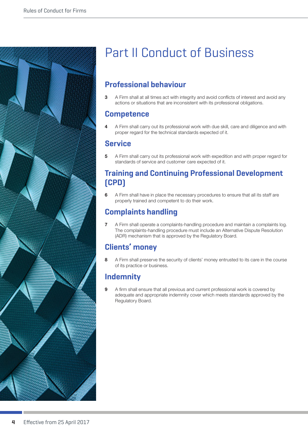

# Part II Conduct of Business

## **Professional behaviour**

**3** A Firm shall at all times act with integrity and avoid conflicts of interest and avoid any actions or situations that are inconsistent with its professional obligations.

### **Competence**

4 A Firm shall carry out its professional work with due skill, care and diligence and with proper regard for the technical standards expected of it.

### **Service**

5 A Firm shall carry out its professional work with expedition and with proper regard for standards of service and customer care expected of it.

## **Training and Continuing Professional Development (CPD)**

6 A Firm shall have in place the necessary procedures to ensure that all its staff are properly trained and competent to do their work.

## **Complaints handling**

7 A Firm shall operate a complaints-handling procedure and maintain a complaints log. The complaints-handling procedure must include an Alternative Dispute Resolution (ADR) mechanism that is approved by the Regulatory Board.

## **Clients' money**

8 A Firm shall preserve the security of clients' money entrusted to its care in the course of its practice or business.

## **Indemnity**

9 A firm shall ensure that all previous and current professional work is covered by adequate and appropriate indemnity cover which meets standards approved by the Regulatory Board.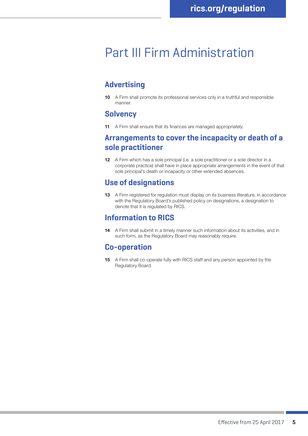# Part III Firm Administration

### **Advertising**

10 A Firm shall promote its professional services only in a truthful and responsible manner.

### **Solvency**

11 A Firm shall ensure that its finances are managed appropriately.

### **Arrangements to cover the incapacity or death of a sole practitioner**

12 A Firm which has a sole principal (i.e. a sole practitioner or a sole director in a corporate practice) shall have in place appropriate arrangements in the event of that sole principal's death or incapacity or other extended absences.

### **Use of designations**

13 A Firm registered for regulation must display on its business literature, in accordance with the Regulatory Board's published policy on designations, a designation to denote that it is regulated by RICS.

### **Information to RICS**

14 A Firm shall submit in a timely manner such information about its activities, and in such form, as the Regulatory Board may reasonably require.

### **Co-operation**

15 A Firm shall co-operate fully with RICS staff and any person appointed by the Regulatory Board.